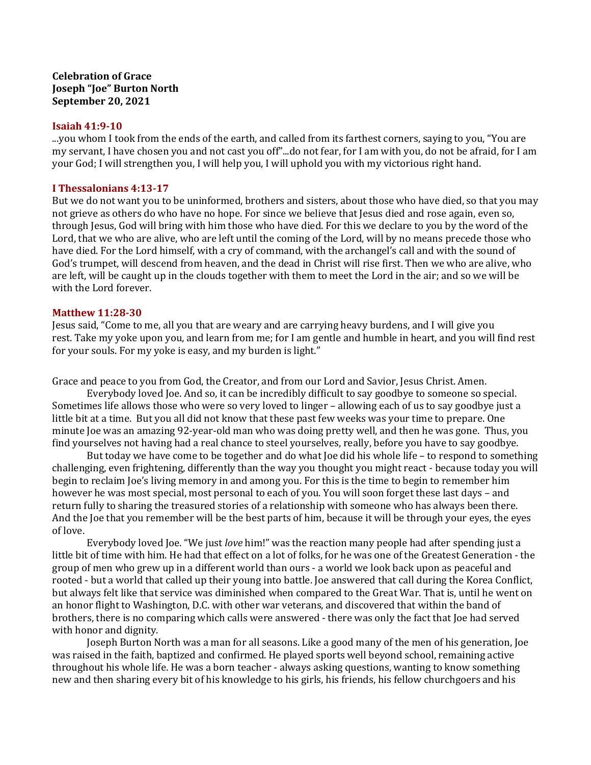## **Celebration of Grace Joseph "Joe" Burton North September 20, 2021**

## **Isaiah 41:9-10**

...you whom I took from the ends of the earth, and called from its farthest corners, saying to you, "You are my servant, I have chosen you and not cast you off"...do not fear, for I am with you, do not be afraid, for I am your God; I will strengthen you, I will help you, I will uphold you with my victorious right hand.

## **I Thessalonians 4:13-17**

But we do not want you to be uninformed, brothers and sisters, about those who have died, so that you may not grieve as others do who have no hope. For since we believe that lesus died and rose again, even so, through Jesus, God will bring with him those who have died. For this we declare to you by the word of the Lord, that we who are alive, who are left until the coming of the Lord, will by no means precede those who have died. For the Lord himself, with a cry of command, with the archangel's call and with the sound of God's trumpet, will descend from heaven, and the dead in Christ will rise first. Then we who are alive, who are left, will be caught up in the clouds together with them to meet the Lord in the air; and so we will be with the Lord forever.

## **Matthew 11:28-30**

Jesus said, "Come to me, all you that are weary and are carrying heavy burdens, and I will give you rest. Take my yoke upon you, and learn from me; for I am gentle and humble in heart, and you will find rest for your souls. For my yoke is easy, and my burden is light."

Grace and peace to you from God, the Creator, and from our Lord and Savior, Jesus Christ. Amen.

Everybody loved Joe. And so, it can be incredibly difficult to say goodbye to someone so special. Sometimes life allows those who were so very loved to linger – allowing each of us to say goodbye just a little bit at a time. But you all did not know that these past few weeks was your time to prepare. One minute Joe was an amazing 92-year-old man who was doing pretty well, and then he was gone. Thus, you find yourselves not having had a real chance to steel yourselves, really, before you have to say goodbye.

But today we have come to be together and do what Joe did his whole life – to respond to something challenging, even frightening, differently than the way you thought you might react - because today you will begin to reclaim Joe's living memory in and among you. For this is the time to begin to remember him however he was most special, most personal to each of you. You will soon forget these last days – and return fully to sharing the treasured stories of a relationship with someone who has always been there. And the Joe that you remember will be the best parts of him, because it will be through your eyes, the eyes of love.

Everybody loved Joe. "We just *love* him!" was the reaction many people had after spending just a little bit of time with him. He had that effect on a lot of folks, for he was one of the Greatest Generation - the group of men who grew up in a different world than ours - a world we look back upon as peaceful and rooted - but a world that called up their young into battle. Joe answered that call during the Korea Conflict, but always felt like that service was diminished when compared to the Great War. That is, until he went on an honor flight to Washington, D.C. with other war veterans, and discovered that within the band of brothers, there is no comparing which calls were answered - there was only the fact that Joe had served with honor and dignity.

Joseph Burton North was a man for all seasons. Like a good many of the men of his generation, Joe was raised in the faith, baptized and confirmed. He played sports well beyond school, remaining active throughout his whole life. He was a born teacher - always asking questions, wanting to know something new and then sharing every bit of his knowledge to his girls, his friends, his fellow churchgoers and his